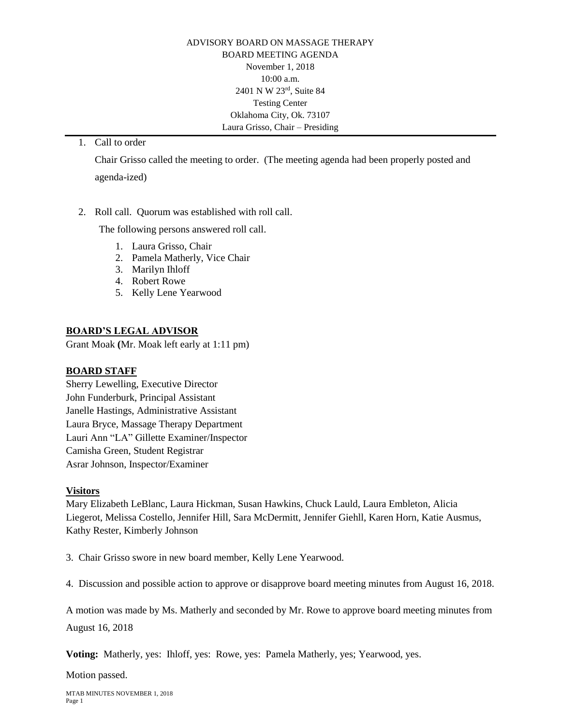ADVISORY BOARD ON MASSAGE THERAPY BOARD MEETING AGENDA November 1, 2018 10:00 a.m. 2401 N W 23rd, Suite 84 Testing Center Oklahoma City, Ok. 73107 Laura Grisso, Chair – Presiding

1. Call to order

Chair Grisso called the meeting to order. (The meeting agenda had been properly posted and agenda-ized)

2. Roll call. Quorum was established with roll call.

The following persons answered roll call.

- 1. Laura Grisso, Chair
- 2. Pamela Matherly, Vice Chair
- 3. Marilyn Ihloff
- 4. Robert Rowe
- 5. Kelly Lene Yearwood

## **BOARD'S LEGAL ADVISOR**

Grant Moak **(**Mr. Moak left early at 1:11 pm)

## **BOARD STAFF**

Sherry Lewelling, Executive Director John Funderburk, Principal Assistant Janelle Hastings, Administrative Assistant Laura Bryce, Massage Therapy Department Lauri Ann "LA" Gillette Examiner/Inspector Camisha Green, Student Registrar Asrar Johnson, Inspector/Examiner

## **Visitors**

Mary Elizabeth LeBlanc, Laura Hickman, Susan Hawkins, Chuck Lauld, Laura Embleton, Alicia Liegerot, Melissa Costello, Jennifer Hill, Sara McDermitt, Jennifer Giehll, Karen Horn, Katie Ausmus, Kathy Rester, Kimberly Johnson

3. Chair Grisso swore in new board member, Kelly Lene Yearwood.

4. Discussion and possible action to approve or disapprove board meeting minutes from August 16, 2018.

A motion was made by Ms. Matherly and seconded by Mr. Rowe to approve board meeting minutes from August 16, 2018

**Voting:** Matherly, yes: Ihloff, yes: Rowe, yes: Pamela Matherly, yes; Yearwood, yes.

Motion passed.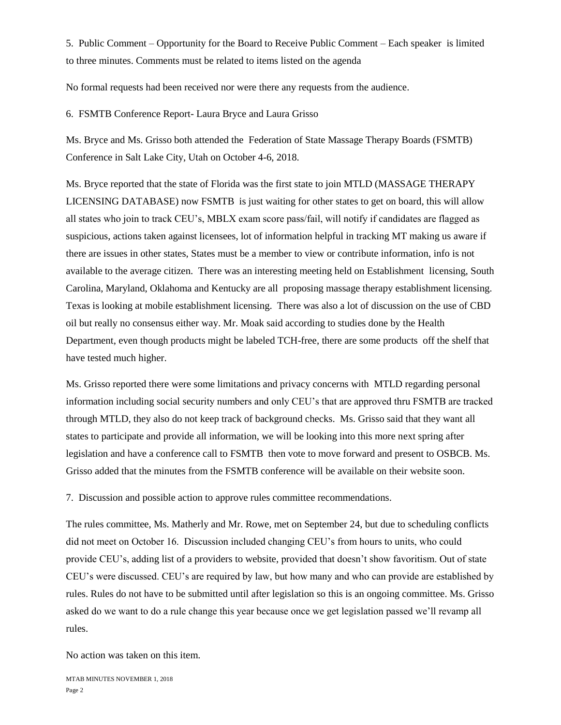5. Public Comment – Opportunity for the Board to Receive Public Comment – Each speaker is limited to three minutes. Comments must be related to items listed on the agenda

No formal requests had been received nor were there any requests from the audience.

6. FSMTB Conference Report- Laura Bryce and Laura Grisso

Ms. Bryce and Ms. Grisso both attended the Federation of State Massage Therapy Boards (FSMTB) Conference in Salt Lake City, Utah on October 4-6, 2018.

Ms. Bryce reported that the state of Florida was the first state to join MTLD (MASSAGE THERAPY LICENSING DATABASE) now FSMTB is just waiting for other states to get on board, this will allow all states who join to track CEU's, MBLX exam score pass/fail, will notify if candidates are flagged as suspicious, actions taken against licensees, lot of information helpful in tracking MT making us aware if there are issues in other states, States must be a member to view or contribute information, info is not available to the average citizen. There was an interesting meeting held on Establishment licensing, South Carolina, Maryland, Oklahoma and Kentucky are all proposing massage therapy establishment licensing. Texas is looking at mobile establishment licensing. There was also a lot of discussion on the use of CBD oil but really no consensus either way. Mr. Moak said according to studies done by the Health Department, even though products might be labeled TCH-free, there are some products off the shelf that have tested much higher.

Ms. Grisso reported there were some limitations and privacy concerns with MTLD regarding personal information including social security numbers and only CEU's that are approved thru FSMTB are tracked through MTLD, they also do not keep track of background checks. Ms. Grisso said that they want all states to participate and provide all information, we will be looking into this more next spring after legislation and have a conference call to FSMTB then vote to move forward and present to OSBCB. Ms. Grisso added that the minutes from the FSMTB conference will be available on their website soon.

7. Discussion and possible action to approve rules committee recommendations.

The rules committee, Ms. Matherly and Mr. Rowe, met on September 24, but due to scheduling conflicts did not meet on October 16. Discussion included changing CEU's from hours to units, who could provide CEU's, adding list of a providers to website, provided that doesn't show favoritism. Out of state CEU's were discussed. CEU's are required by law, but how many and who can provide are established by rules. Rules do not have to be submitted until after legislation so this is an ongoing committee. Ms. Grisso asked do we want to do a rule change this year because once we get legislation passed we'll revamp all rules.

No action was taken on this item.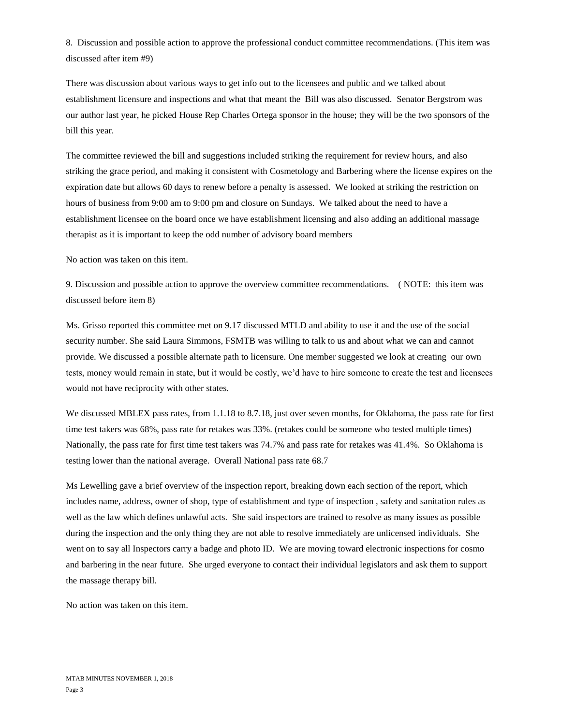8. Discussion and possible action to approve the professional conduct committee recommendations. (This item was discussed after item #9)

There was discussion about various ways to get info out to the licensees and public and we talked about establishment licensure and inspections and what that meant the Bill was also discussed. Senator Bergstrom was our author last year, he picked House Rep Charles Ortega sponsor in the house; they will be the two sponsors of the bill this year.

The committee reviewed the bill and suggestions included striking the requirement for review hours, and also striking the grace period, and making it consistent with Cosmetology and Barbering where the license expires on the expiration date but allows 60 days to renew before a penalty is assessed. We looked at striking the restriction on hours of business from 9:00 am to 9:00 pm and closure on Sundays. We talked about the need to have a establishment licensee on the board once we have establishment licensing and also adding an additional massage therapist as it is important to keep the odd number of advisory board members

No action was taken on this item.

9. Discussion and possible action to approve the overview committee recommendations. ( NOTE: this item was discussed before item 8)

Ms. Grisso reported this committee met on 9.17 discussed MTLD and ability to use it and the use of the social security number. She said Laura Simmons, FSMTB was willing to talk to us and about what we can and cannot provide. We discussed a possible alternate path to licensure. One member suggested we look at creating our own tests, money would remain in state, but it would be costly, we'd have to hire someone to create the test and licensees would not have reciprocity with other states.

We discussed MBLEX pass rates, from 1.1.18 to 8.7.18, just over seven months, for Oklahoma, the pass rate for first time test takers was 68%, pass rate for retakes was 33%. (retakes could be someone who tested multiple times) Nationally, the pass rate for first time test takers was 74.7% and pass rate for retakes was 41.4%. So Oklahoma is testing lower than the national average. Overall National pass rate 68.7

Ms Lewelling gave a brief overview of the inspection report, breaking down each section of the report, which includes name, address, owner of shop, type of establishment and type of inspection , safety and sanitation rules as well as the law which defines unlawful acts. She said inspectors are trained to resolve as many issues as possible during the inspection and the only thing they are not able to resolve immediately are unlicensed individuals. She went on to say all Inspectors carry a badge and photo ID. We are moving toward electronic inspections for cosmo and barbering in the near future. She urged everyone to contact their individual legislators and ask them to support the massage therapy bill.

No action was taken on this item.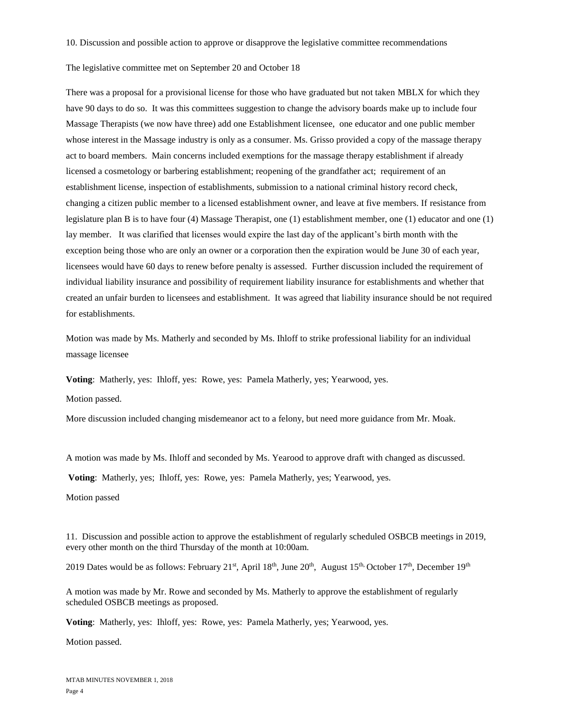10. Discussion and possible action to approve or disapprove the legislative committee recommendations

The legislative committee met on September 20 and October 18

There was a proposal for a provisional license for those who have graduated but not taken MBLX for which they have 90 days to do so. It was this committees suggestion to change the advisory boards make up to include four Massage Therapists (we now have three) add one Establishment licensee, one educator and one public member whose interest in the Massage industry is only as a consumer. Ms. Grisso provided a copy of the massage therapy act to board members. Main concerns included exemptions for the massage therapy establishment if already licensed a cosmetology or barbering establishment; reopening of the grandfather act; requirement of an establishment license, inspection of establishments, submission to a national criminal history record check, changing a citizen public member to a licensed establishment owner, and leave at five members. If resistance from legislature plan B is to have four (4) Massage Therapist, one (1) establishment member, one (1) educator and one (1) lay member. It was clarified that licenses would expire the last day of the applicant's birth month with the exception being those who are only an owner or a corporation then the expiration would be June 30 of each year, licensees would have 60 days to renew before penalty is assessed. Further discussion included the requirement of individual liability insurance and possibility of requirement liability insurance for establishments and whether that created an unfair burden to licensees and establishment. It was agreed that liability insurance should be not required for establishments.

Motion was made by Ms. Matherly and seconded by Ms. Ihloff to strike professional liability for an individual massage licensee

**Voting**: Matherly, yes: Ihloff, yes: Rowe, yes: Pamela Matherly, yes; Yearwood, yes.

Motion passed.

More discussion included changing misdemeanor act to a felony, but need more guidance from Mr. Moak.

A motion was made by Ms. Ihloff and seconded by Ms. Yearood to approve draft with changed as discussed.

**Voting**: Matherly, yes; Ihloff, yes: Rowe, yes: Pamela Matherly, yes; Yearwood, yes.

Motion passed

11. Discussion and possible action to approve the establishment of regularly scheduled OSBCB meetings in 2019, every other month on the third Thursday of the month at 10:00am.

2019 Dates would be as follows: February 21<sup>st</sup>, April 18<sup>th</sup>, June 20<sup>th</sup>, August 15<sup>th,</sup> October 17<sup>th</sup>, December 19<sup>th</sup>

A motion was made by Mr. Rowe and seconded by Ms. Matherly to approve the establishment of regularly scheduled OSBCB meetings as proposed.

**Voting**: Matherly, yes: Ihloff, yes: Rowe, yes: Pamela Matherly, yes; Yearwood, yes.

Motion passed.